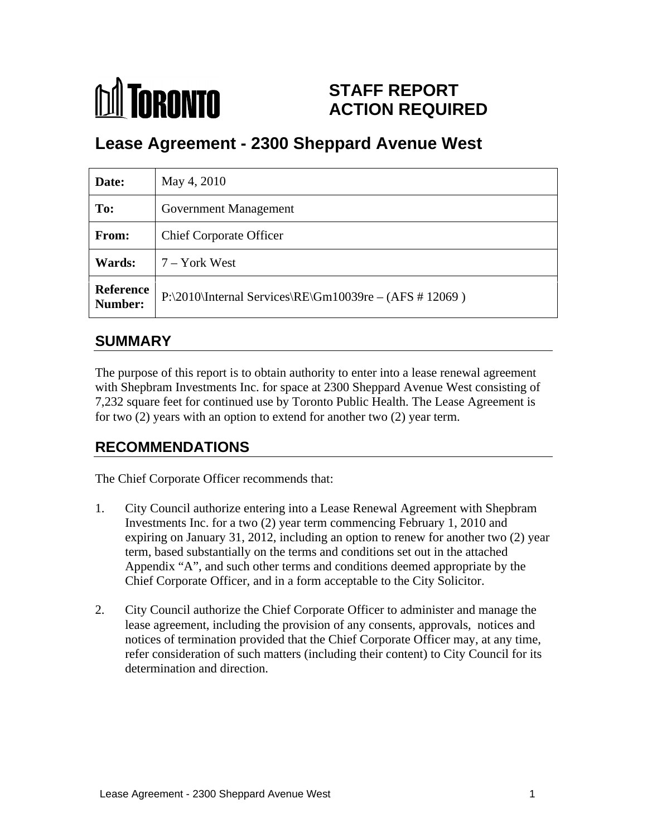# **MA** TORONTO

# **STAFF REPORT ACTION REQUIRED**

# **Lease Agreement - 2300 Sheppard Avenue West**

| Date:         | May 4, 2010                                                                  |
|---------------|------------------------------------------------------------------------------|
| To:           | <b>Government Management</b>                                                 |
| From:         | <b>Chief Corporate Officer</b>                                               |
| <b>Wards:</b> | 7 – York West                                                                |
|               | Reference $P:\2010\{\text{internal Services}\RE\Gm10039re - (AFS # 12069)\}$ |

## **SUMMARY**

The purpose of this report is to obtain authority to enter into a lease renewal agreement with Shepbram Investments Inc. for space at 2300 Sheppard Avenue West consisting of 7,232 square feet for continued use by Toronto Public Health. The Lease Agreement is for two (2) years with an option to extend for another two (2) year term.

# **RECOMMENDATIONS**

The Chief Corporate Officer recommends that:

- 1. City Council authorize entering into a Lease Renewal Agreement with Shepbram Investments Inc. for a two (2) year term commencing February 1, 2010 and expiring on January 31, 2012, including an option to renew for another two (2) year term, based substantially on the terms and conditions set out in the attached Appendix "A", and such other terms and conditions deemed appropriate by the Chief Corporate Officer, and in a form acceptable to the City Solicitor.
- 2. City Council authorize the Chief Corporate Officer to administer and manage the lease agreement, including the provision of any consents, approvals, notices and notices of termination provided that the Chief Corporate Officer may, at any time, refer consideration of such matters (including their content) to City Council for its determination and direction.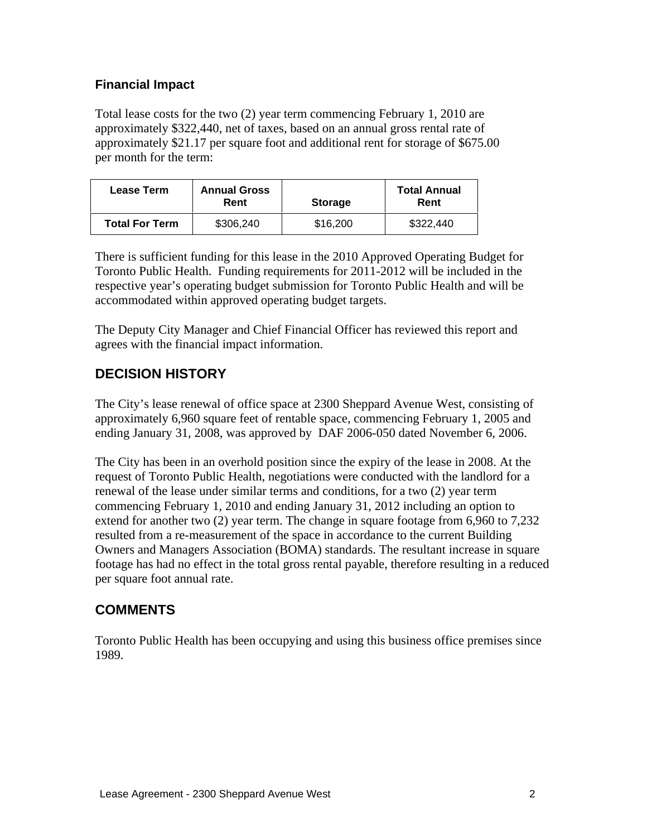#### **Financial Impact**

Total lease costs for the two (2) year term commencing February 1, 2010 are approximately \$322,440, net of taxes, based on an annual gross rental rate of approximately \$21.17 per square foot and additional rent for storage of \$675.00 per month for the term:

| <b>Lease Term</b>     | <b>Annual Gross</b>                          |          | <b>Total Annual</b> |
|-----------------------|----------------------------------------------|----------|---------------------|
|                       | $D_{\text{ant}}$<br><b>Storage</b><br>,,,,,, |          | Rent                |
| <b>Total For Term</b> | \$306,240                                    | \$16,200 | \$322,440           |

There is sufficient funding for this lease in the 2010 Approved Operating Budget for Toronto Public Health. Funding requirements for 2011-2012 will be included in the respective year's operating budget submission for Toronto Public Health and will be accommodated within approved operating budget targets.

The Deputy City Manager and Chief Financial Officer has reviewed this report and agrees with the financial impact information.

### **DECISION HISTORY**

The City's lease renewal of office space at 2300 Sheppard Avenue West, consisting of approximately 6,960 square feet of rentable space, commencing February 1, 2005 and ending January 31, 2008, was approved by DAF 2006-050 dated November 6, 2006.

The City has been in an overhold position since the expiry of the lease in 2008. At the request of Toronto Public Health, negotiations were conducted with the landlord for a renewal of the lease under similar terms and conditions, for a two (2) year term commencing February 1, 2010 and ending January 31, 2012 including an option to extend for another two (2) year term. The change in square footage from 6,960 to 7,232 resulted from a re-measurement of the space in accordance to the current Building Owners and Managers Association (BOMA) standards. The resultant increase in square footage has had no effect in the total gross rental payable, therefore resulting in a reduced per square foot annual rate.

## **COMMENTS**

Toronto Public Health has been occupying and using this business office premises since 1989.